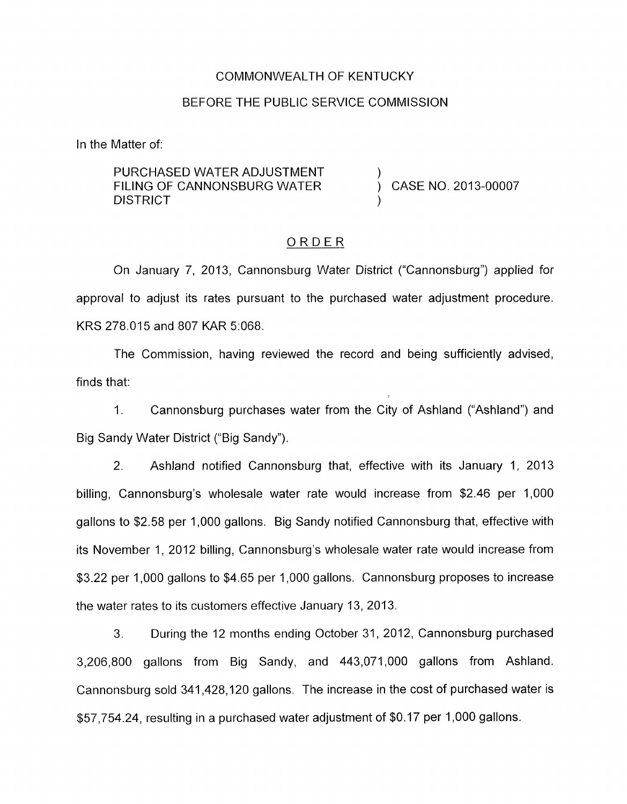#### COMMONWEALTH OF KENTUCKY

#### BEFORE THE PUBLIC SERVICE COMMISSION

In the Matter of:

PURCHASED WATER ADJUSTMENT FILING OF CANNONSBURG WATER  $\overrightarrow{)}$  CASE NO. 2013-00007 **DISTRICT** 

## ORDER

On January 7, 2013, Cannonsburg Water District ("Cannonsburg") applied for approval to adjust its rates pursuant to the purchased water adjustment procedure. KRS 278.015 and 807 KAR 5:068.

The Commission, having reviewed the record and being sufficiently advised, finds that:

1. Cannonsburg purchases water from the City of Ashland ("Ashland") and Big Sandy Water District ("Big Sandy").

*2.* Ashland notified Cannonsburg that, effective with its January 1, 2013 billing, Cannonsburg's wholesale water rate would increase from \$2.46 per 1,000 gallons to \$2.58 per 1,000 gallons. Big Sandy notified Cannonsburg that, effective with its November 1, 2012 billing, Cannonsburg's wholesale water rate would increase from \$3.22 per 1,000 gallons to \$4.65 per 1,000 gallons. Cannonsburg proposes to increase the water rates to its customers effective January 13, 2013.

3. During the 12 months ending October 31, 2012, Cannonsburg purchased 3,206,800 gallons from Big Sandy, and 443,071,000 gallons from Ashland. Cannonsburg sold 341,428,120 gallons. The increase in the cost of purchased water is \$57,754.24, resulting in a purchased water adjustment of \$0.17 per 1,000 gallons.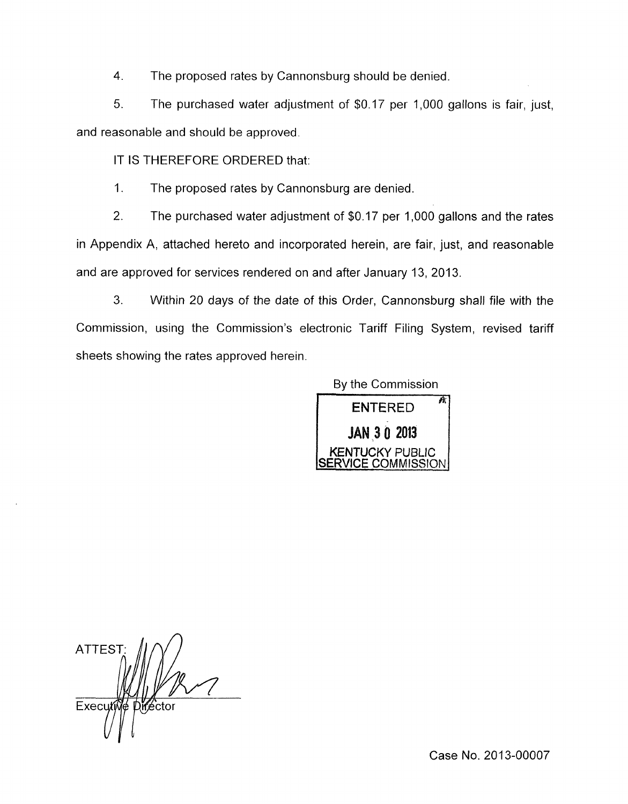**4.** The proposed rates by Cannonsburg should be denied.

5. The purchased water adjustment of \$0.17 per 1,000 gallons is fair, just, and reasonable and should be approved.

IT IS THEREFORE ORDERED that:

1. The proposed rates by Cannonsburg are denied.

2. The purchased water adjustment of \$0.17 per 1,000 gallons and the rates in Appendix A, attached hereto and incorporated herein, are fair, just, and reasonable and are approved for services rendered on and after January 13, 2013.

3. Within 20 days of the date of this Order, Cannonsburg shall file with the Commission, using the Commission's electronic Tariff Filing System, revised tariff sheets showing the rates approved herein.

> **KENTUCKY** PUBLIC **COMMISSION** By the Commission ENTERED **2013**

**ATTEST** Executi

Case No. 2013-00007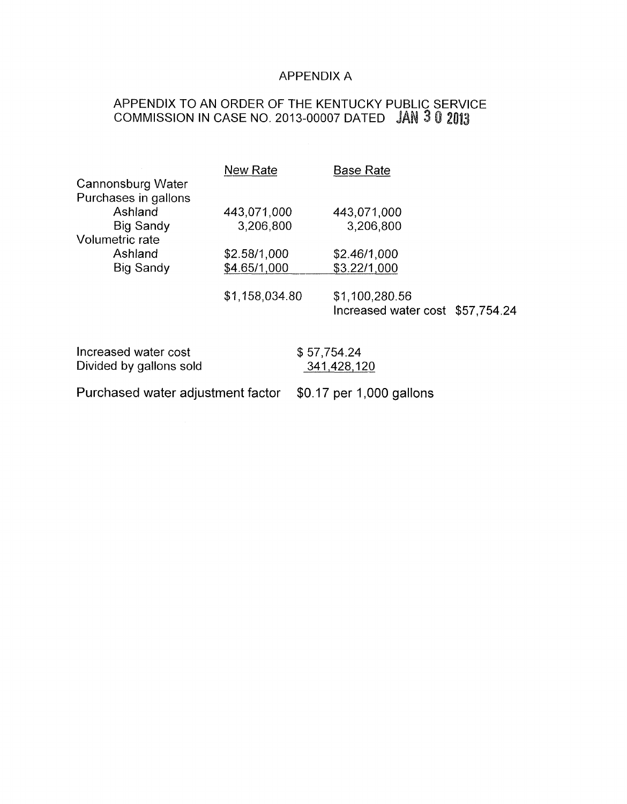## APPENDIX A

## APPENDIX TO AN ORDER OF THE KENTUCKY PUBLIC SERVICE COMMISSION IN CASE NO. 2013-00007 DATED

|                      | <b>New Rate</b> | <b>Base Rate</b>                 |
|----------------------|-----------------|----------------------------------|
| Cannonsburg Water    |                 |                                  |
| Purchases in gallons |                 |                                  |
| Ashland              | 443,071,000     | 443,071,000                      |
| Big Sandy            | 3,206,800       | 3,206,800                        |
| Volumetric rate      |                 |                                  |
| Ashland              | \$2.58/1,000    | \$2.46/1,000                     |
| Big Sandy            | \$4.65/1,000    | \$3.22/1,000                     |
|                      |                 |                                  |
|                      | \$1,158,034.80  | \$1,100,280.56                   |
|                      |                 | Increased water cost \$57,754.24 |
|                      |                 |                                  |
|                      |                 |                                  |

| Increased water cost    | \$57,754.24 |
|-------------------------|-------------|
| Divided by gallons sold | 341,428,120 |
|                         |             |

Purchased water adjustment factor \$0.17 per 1,000 gallons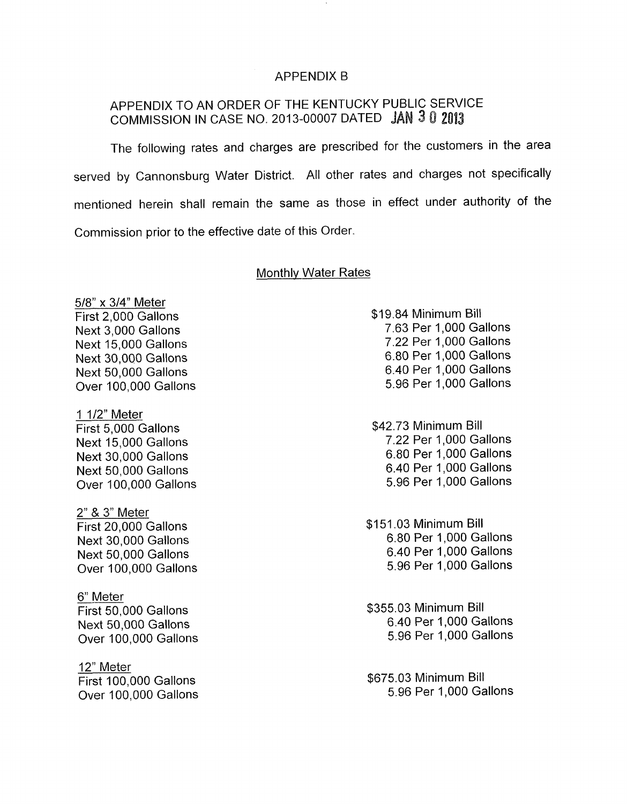## APPENDIX B

# APPENDIX TO AN ORDER OF THE KENTUCKY PUBLIC SERVICE COMMISSION IN CASE NO. 2013-00007 DATED J

The following rates and charges are prescribed for the customers in the area served by Cannonsburg Water District. All other rates and charges not specifically mentioned herein shall remain the same as those in effect under authority of the Commission prior to the effective date of this Order.

#### Monthlv Water Rates

5/8" x 3/4" Meter First 2,000 Gallons Next 3,000 Gallons Next 15,000 Gallons Next 30,000 Gallons Next 50,000 Gallons Over 100,000 Gallons

1 1/2" Meter First 5,000 Gallons Next 15,000 Gallons Next 30,000 Gallons Next 50,000 Gallons Over 100,000 Gallons

2" & 3" Meter First 20,000 Gallons Next 30,000 Gallons Next 50,000 Gallons Over 100,000 Gallons

6" Meter First 50,000 Gallons Next 50,000 Gallons Over 100,000 Gallons

12" Meter First 100,000 Gallons Over 100,000 Gallons \$19.84 Minimum Bill 7.63 Per 1,000 Gallons 7.22 Per 1,000 Gallons 6.80 Per 1,000 Gallons 6.40 Per 1,000 Gallons 5.96 Per 1,000 Gallons

\$42.73 Minimum Bill 7.22 Per 1,000 Gallons 6.80 Per 1,000 Gallons 6.40 Per 1,000 Gallons 5.96 Per 1,000 Gallons

\$151.03 Minimum Bill 6.80 Per 1,000 Gallons 6.40 Per 1,000 Gallons 5.96 Per 1,000 Gallons

\$355.03 Minimum Bill 6.40 Per 1,000 Gallons 5.96 Per 1,000 Gallons

\$675.03 Minimum Bill 5.96 Per 1,000 Gallons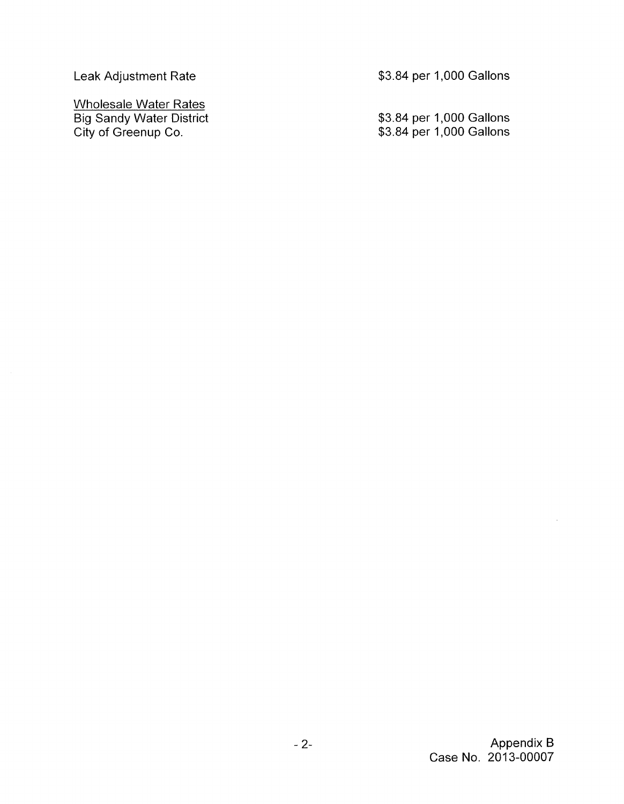Leak Adjustment Rate

Wholesale Water Rates Big Sandy Water District City of Greenup Co.

\$3.84 per 1,000 Gallons

\$3.84 per 1,000 Gallons \$3.84 per 1,000 Gallons